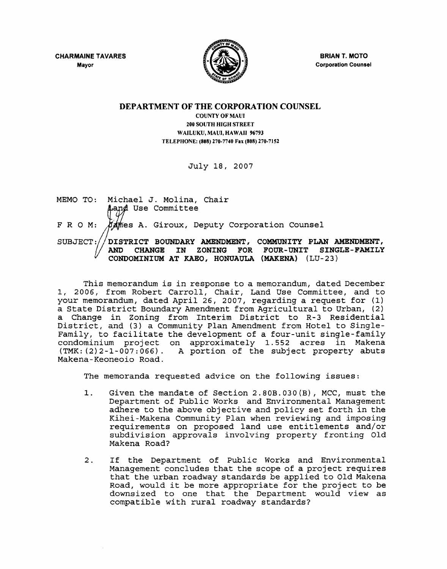CHARMAINE TAVARES Mayor



BRIAN T. MOTO Corporation Counsel

### DEPARTMENT OF THE CORPORATION COUNSEL

COUNTY OF MAUl 200 SOUTH HIGH STREET WAILUKU, MAUl, HAWAII 96793 TELEPHONE: (808) 270-7740 Fax (808) 270-7152

July 18, 2007

MEMO TO: Michael J. Molina, Chair<br> **A**and Use Committee F R O M: *AA* mes A. Giroux, Deputy Corporation Counsel SUBJECT: $//$ DISTRICT BOUNDARY AMENDMENT, COMMUNITY PLAN AMENDMENT, AND CHANGB IN ZONING FOR FOUR-UNIT SINGLB-FAMILY CONDOMINIUM AT KABO, HONUAULA (MAKENA) (LU-23)

This memorandum is in response to a memorandum, dated December 1, 2006, from Robert Carroll, Chair, Land Use Committee, and to your memorandum, dated April 26, 2007, regarding a request for (1) a State District Boundary Amendment from Agricultural to Urban, (2) a Change in Zoning from Interim District to R-3 Residential District, and (3) a Community Plan Amendment from Hotel to Single-Family, to facilitate the development of a four-unit single-family condominium project on approximately 1.552 acres in Makena (TMK: (2) 2-1-007: 066) . A portion of the subject property abuts Makena-Keoneoio Road.

The memoranda requested advice on the following issues:

- 1. Given the mandate of Section 2.80B.030(B), MCC, must the Department of Public Works and Environmental Management adhere to the above objective and policy set forth in the Kihei-Makena Community Plan when reviewing and imposing requirements on proposed land use entitlements and/or subdivision approvals involving property fronting Old Makena Road?
- 2. If the Department of Public Works and Environmental Management concludes that the scope of a project requires that the urban roadway standards be applied to Old Makena Road, would it be more appropriate for the project to be downsized to one that the Department would view as compatible with rural roadway standards?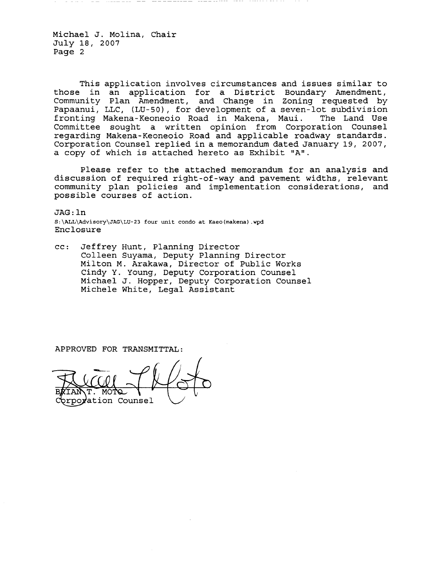This application involves circumstances and issues similar to those in an application for a District Boundary Amendment, Community Plan Amendment, and Change in Zoning requested by Papaanui, LLC, (LU-50), for development of a seven-lot subdivision fronting Makena-Keoneoio Road in Makena, Maui. The Land Use Committee sought a written opinion from Corporation Counsel regarding Makena-Keoneoio Road and applicable roadway standards. Corporation Counsel replied in a memorandum dated January 19, 2007, a copy of which is attached hereto as Exhibit "A".

Please refer to the attached memorandum for an analysis and discussion of required right-of-way and pavement widths, relevant community plan policies and implementation considerations, and possible courses of action.

JAG: In S:\ALL\Advisory\JAG\LU-23 four unit condo at Kaeo(makena) .wpd Enclosure

cc: Jeffrey Hunt, Planning Director Colleen Suyama, Deputy Planning Director Milton M. Arakawa, Director of Public Works Cindy Y. Young, Deputy Corporation Counsel Michael J. Hopper, Deputy Corporation Counsel Michele White, Legal Assistant

APPROVED FOR TRANSMITTAL:

M∩' ration Counsel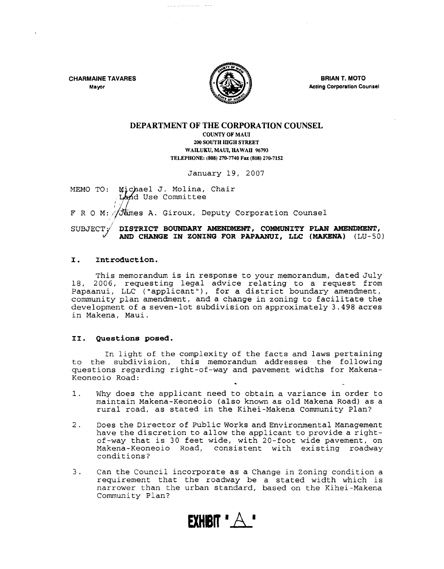CHARMAINE TAVARES Mayor



BRIAN T. MOTO Acting Corporation Counsel

### DEPARTMENT OF THE CORPORATION COUNSEL

COUNTY OF MAUl 200 SOUTH fiGH STREET WAILUKU, MAUl, HAWAII 96793 TELEPHONE: (808) 270·7740 Fax (808) 270·7152

January 19, 2007

MEMO TO: Michael J. Molina, Chair LAnd Use Committee

 $F R O M$ : // $\sqrt{dim}$ es A. Giroux, Deputy Corporation Counsel

SUBJECT / DISTRICT BOUNDARY AMENDMENT, COMMUNITY PLAN AMENDMENT, AND CHANGE IN ZONING FOR PAPAANUI, LLC (MAKENA) (LU-50)

### I. Introduction.

This memorandum is in response to your memorandum, dated July 18, 2006, requesting legal advice relating to a request from 10, 2000, requesting regar advice relating to a request from community plan amendment, and a change in zoning to facilitate the development of a seven-lot subdivision on approximately 3.498 acres in Makena, Maui.

### II. Questions posed.

In light of the complexity of the facts and laws pertaining to the subdivision, this memorandum addresses the following questions regarding right-of-way and pavement widths for Makena-Keoneoio Road:

- 1. Why does the applicant need to obtain a variance in order to maintain Makena-Keoneoio (also known as old Makena Road) as a rural road, as stated in the Kihei-Makena Community plan?
- 2. Does the Director of Public Works and Environmental Management have the discretion to allow the applicant to provide a rightof-way that is 30 feet wide, with 20-foot wide pavement, on Makena-Keoneoio Road, consistent with existing roadway conditions?
- 3. Can the Council incorporate as a Change in Zoning condition a requirement that the roadway be a stated width which is narrower than the urban standard, based on the Kihei-Makena Community plan?

**EXHIBIT**  $^*$   $\wedge$ <sup>\*</sup>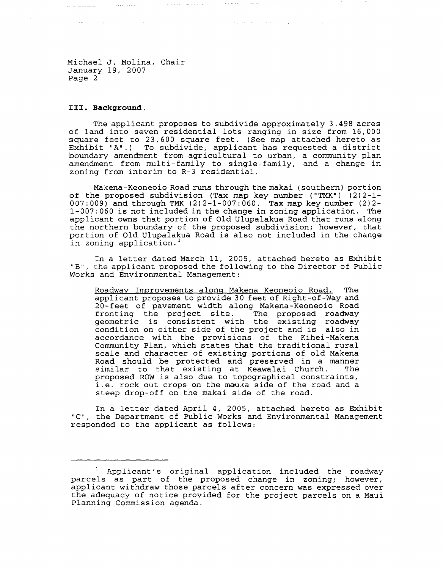. The compact of the compact of the space of the space of the space of the space of the  $\alpha$ 

### **1:1:1:. Background.**

and a straight for

The applicant proposes to subdivide approximately 3.498 acres of land into seven residential lots ranging in size from 16,000 square feet to 23,600 square feet. (See map attached hereto as Exhibit "A".) To subdivide, applicant has requested a district boundary amendment from agricultural to urban, a community plan amendment from multi-family to single-family, and a change in zoning from interim to R-3 residential.

 $\mathcal{L}_{\rm{max}}$  and the presentation of the second contract of the second contract of the  $\mathcal{L}_{\rm{max}}$ 

Makena-Keoneoio Road runs through the makai (southern) portion of the proposed subdivision (Tax map key number ("TMK") (2)2-1- 007:009) and through TMK (2)2-1-007:060. Tax map key number (2)2- 1-007: 060 is not included in the change in zoning application. The applicant owns that portion of Old Ulupalakua Road that runs along the northern boundary of the proposed subdivision; however, that portion of Old Ulupalakua Road is also not included in the change in zoning application.

In a letter dated March 11, 2005, attached hereto as Exhibit "B", the applicant proposed the following to the Director of Public Works and Environmental Management:

Roadway Improvements along Makena Keoneoio Road. The applicant proposes to provide 30 feet of Right-of-Way and 20-feet of pavement width along Makena-Keoneoio Road<br>fronting the project site. The proposed roadway fronting the project site. geometric is consistent with the existing roadway condition on either side of the project and is also in accordance with the provisions of the Kihei-Makena Community Plan, which states that the traditional rural scale and character of existing portions of old Makena Road should be protected and preserved in a manner<br>similar to that existing at Keawalai Church. The similar to that existing at Keawalai Church. proposed ROW is also due to topographical constraints, i.e. rock out crops on the mauka side of the road and a steep drop-off on the makai side of the road.

In a letter dated April 4, 2005, attached hereto as Exhibit "C", the Department of Public Works and Environmental Management responded to the applicant as follows:

Applicant's original application included the roadway parcels as part of the proposed change in zoning; however, applicant withdraw those parcels after concern was expressed over the adequacy of notice provided for the project parcels on a Maui Planning Commission agenda.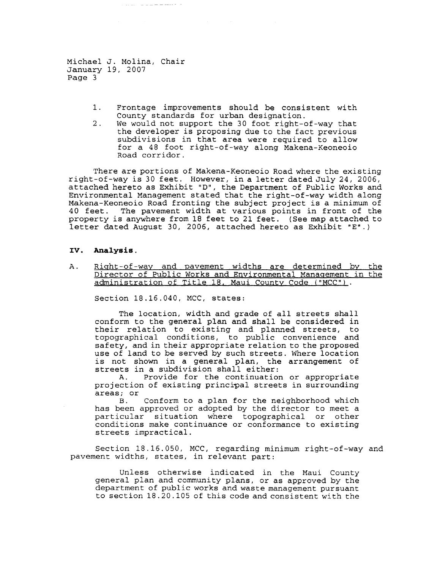and development of the second contract of

- 1. Frontage improvements should be consistent with County standards for urban designation.
- 2. We would not support the 30 foot right-of-way that the developer is proposing due to the fact previous subdivisions in that area were required to allow for a 48 foot right-of-way along Makena-Keoneoio Road corridor.

There are portions of Makena-Keoneoio Road where the existing right-of-way is 30 feet. However, in a letter dated July 24, 2006, attached hereto as Exhibit "D", the Department of Public Works and Environmental Management stated that the right-of-way width along Makena-Keoneoio Road fronting the subject project is a minimum of The pavement width at various points in front of the property is anywhere from 18 feet to 21 feet. (See map attached to letter dated August 30, 2006, attached hereto as Exhibit "E".)

#### **IV. Analysis.**

A. Right-of-way and pavement widths are determined by the Director of Public Works and Environmental Management in the administration of Title 18, Maui County Code ("MCC").

Section 18.16.040, MCC, states:

The location, width and grade of all streets shall conform to the general plan and shall be considered in their relation to existing and planned streets, to topographical conditions, to public convenience and safety, and in their appropriate relation to the proposed use of land to be served by such streets. Where location is not shown in a general plan, the arrangement of streets in a subdivision shall either:<br>A. Provide for the continuation

Provide for the continuation or appropriate projection of existing principal streets in surrounding areas; or

Conform to a plan for the neighborhood which has been approved or adopted by the director to meet a particular situation where topographical or other conditions make continuance or conformance to existing streets impractical.

Section 18.16.050, MCC, regarding minimum right-of-way and pavement widths, states, in relevant part:

Unless otherwise indicated in the Maui County general plan and community plans, or as approved by the department of public works and waste management pursuant to section 18.20.105 of this code and consistent with the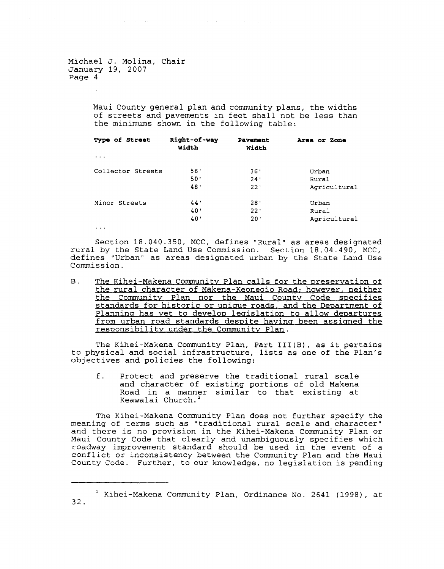and the state of the state of

Maui County general plan and community plans, the widths of streets and pavements in feet shall not be less than the minimums shown in the following table:

| Type of Street     | Right-of-way<br>Width | Pavement<br>Width | Area or Zone |
|--------------------|-----------------------|-------------------|--------------|
| $\cdots$           |                       |                   |              |
| Collector Streets  | 56'                   | 36'               | Urban        |
|                    | 50'                   | 24'               | Rural        |
|                    | 48'                   | 22'               | Agricultural |
| Minor Streets<br>. | 44'                   | 28'               | Urban        |
|                    | 40'                   | 22'               | Rural        |
|                    | 40'                   | 20'               | Agricultural |

Section 18.040.350, MCC, defines "Rural" as areas designated rural by the State Land Use Commission. Section 18.04.490, MCC, defines "Urban" as areas designated urban by the State Land Use Commission.

B. The Kihei-Makena Community Plan calls for the preservation of the rural character of Makena-Keoneoio Road; however, neither the Community Plan nor the Maui County Code specifies standards for historic or unique roads, and the Department of Planning has yet to develop legislation to allow departures from urban road standards despite having been assigned the responsibility under the Community Plan.

The Kihei-Makena Community Plan, Part III(B), as it pertains to physical and social infrastructure, lists as one of the plan's objectives and policies the following:

f. Protect and preserve the traditional rural scale and character of existing portions of old Makena Road in a manner similar to that existing at Keawalai Church. <sup>2</sup>

The Kihei-Makena Community Plan does not further specify the meaning of terms such as "traditional rural scale and character" and there is no provision in the Kihei-Makena Community Plan or Maui County Code that clearly and unambiguously specifies which roadway improvement standard should be used in the event of a conflict or inconsistency between the Community Plan and the Maui County Code. Further, to our knowledge, no legislation is pending

 $2$  Kihei-Makena Community Plan, Ordinance No. 2641 (1998), at 32.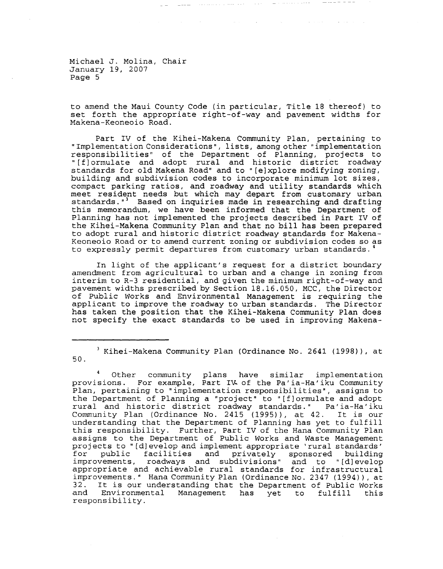to amend the Maui County Code (in particular, Title 18 thereof) to set forth the appropriate right-of-way and pavement widths for Makena-Keoneoio Road.

and the second contract of the second contract of the second contract of the second contract of the

Part IV of the Kihei-Makena Community Plan, pertaining to "Implementation Considerations", lists, among other" implementation responsibilities" of the Department of Planning, projects to "[f]ormulate and adopt rural and historic district roadway standards for old Makena Road" and to "[eJxplore modifying zoning, building and subdivision codes to incorporate minimum lot sizes, compact parking ratios, and roadway and utility standards which meet resident needs but which may depart from customary urban standards."<sup>3</sup> Based on inquiries made in researching and drafting this memorandum, we have been informed that the Department of Planning has not implemented the projects described in Part IV of the Kihei-Makena Community Plan and that no bill has been prepared to adopt rural and historic district roadway standards for Makena-Keoneoio Road or to amend current zoning or subdivision codes so as to expressly permit departures from customary urban standards. 4

In light of the applicant's request for a district boundary amendment from agricultural to urban and a change in zoning from interim to R-3 residential, and given the minimum right-of-way and pavement widths prescribed by Section 18.16.050, *MCC,* the Director of Public works and Environmental Management is requiring the applicant to improve the roadway to urban standards. The Director has taken the position that the Kihei-Makena Community Plan does not specify the exact standards to be used in improving Makena-

<sup>3</sup> Kihei-Makena Community plan (Ordinance No. 2641 (1998)), at 50.

Other community plans have similar implementation provisions. For example, Part IR of the Pa'ia-Ha'iku Community Plan, pertaining to "implementation responsibilities", assigns to the Department of Planning a "project" to "[fJormulate and adopt rural and historic district roadway standards." Pa' ia-Ha' iku Communi ty Plan (Ordinance No. 2415 (1995)), at 42. It is our understanding that the Department of Planning has yet to fulfill this responsibility. Further, Part IV of the Hana Community Plan assigns to the Department of Public Works and Waste Management projects to "[d] evelop and implement appropriate 'rural standards' projects to (ujeverby and imprement appropriate fural standards<br>for public facilities and privately sponsored building improvements, roadways and subdivisions" and to "[dJevelop appropriate and achievable rural standards for infrastructural improvements." Hana Community Plan (Ordinance No. 2347 (1994)), at 32. It is our understanding that the Department of Public Works<br>and Environmental Management has yet to fulfill this Environmental Management has yet to responsibility.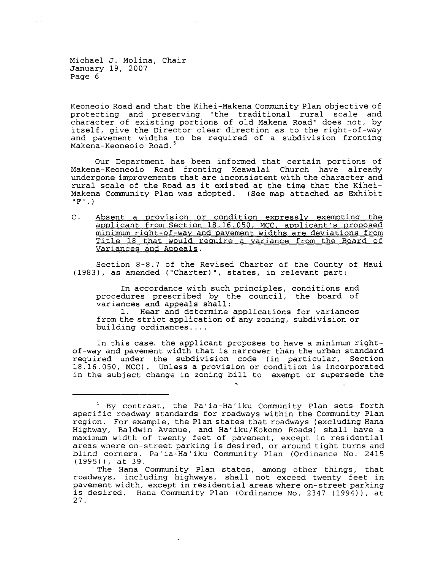Keoneoio Road and that the Kihei-Makena Community Plan objective of protecting and preserving "the traditional rural scale and character of existing portions of old Makena Road" does not, by itself, give the Director clear direction as to the right-of-way and pavement widths to be required of a subdivision fronting Makena-Keoneoio Road. <sup>5</sup>

Our Department has been informed that certain portions of Makena-Keoneoio Road fronting Keawalai Church have already undergone improvements that are inconsistent with the character and rural scale of the Road as it existed at the time that the Kihei-Makena Community Plan was adopted. (See map attached as Exhibit **IIF". )** 

C. Absent a orovision or condition expressly exempting the applicant from Section 18.16.050, MCC, applicant's proposed minimum right-of-way and pavement widths are deviations from Title 18 that would require a variance from the Board of Variances and Appeals.

Section 8-8.7 of the Revised Charter of the County of Maui (1983), as amended ("Charter)", states, in relevant part:

In accordance with such principles, conditions and procedures prescribed by the council, the board of variances and appeals shall:

1. Hear and determine applications for variances from the strict application of any zoning, subdivision or building ordinances ....

In this case, the applicant proposes to have a minimum rightof-way and pavement width that is narrower than the urban standard required under the subdivision code (in particular, Section 18.16.050, MCC). Unless a provision or condition is incorporated in the subject change in zoning bill to exempt or supersede the

<sup>5</sup> By contrast, the Pa' ia-Ha' iku Community plan sets forth specific roadway standards for roadways within the Community Plan region. For example, the Plan states that roadways (excluding Hana Highway, Baldwin Avenue, and Ha'iku/Kokomo Roads) shall have a maximum width of twenty feet of pavement, except in residential areas where on-street parking is desired, or around tight turns and blind corners. Pa'ia-Ha'iku Community Plan (Ordinance No. 2415 (1995)), at 39.

The Hana Community Plan states, among other things, that roadways, including highways, shall not exceed twenty feet in pavement width, except in residential areas where on-street parking is desired. Hana Community Plan (Ordinance No. 2347 (1994)), at 27.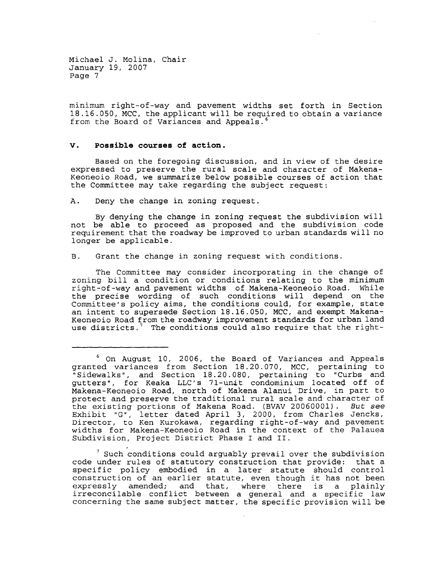minimum right-of-way and pavement widths set forth in Section 18.16.050, MCC, the applicant will be required to obtain a variance from the Board of Variances and Appeals.

### **v. possible courses of action.**

Based on the foregoing discussion, and in view of the desire expressed to preserve the rural scale and character of Makena-Keoneoio Road, we summarize below possible courses of action that the Committee may take regarding the subject request:

A. Deny the change in zoning request.

By denying the change in zoning request the subdivision will not be able to proceed as proposed and the subdivision code requirement that the roadway be improved to urban standards will no longer be applicable.

B. Grant the change in zoning request with conditions.

The Committee may consider incorporating in the change of zoning bill a condition or conditions relating to the minimum right-of-way and pavement widths of Makena-Keoneoio Road. While the precise wording of such conditions will depend on the Committee's policy aims, the conditions could, for example, state an intent to supersede Section 18.16.050, MCC, and exempt Makena-Keoneoio Road from the roadway improvement standards for urban land use districts.<sup>7</sup> The conditions could also require that the right-

 $<sup>7</sup>$  Such conditions could arguably prevail over the subdivision</sup> code under rules of statutory construction that provide: that a specific policy embodied in a later statute should control specific policy embodied in a later statute should control<br>construction of an earlier statute, even though it has not been expressly amended; and that, where there is a plainly irreconcilable conflict between a general and a specific law concerning the same subject matter, the specific provision will be

<sup>6</sup> On August 10, 2006, the Board of Variances and Appeals granted variances from Section 18.20.070, MCC, pertaining to "Sidewalks", and Section 18.20.080, pertaining to "Curbs and gutters", for Keaka LLC's 71-unit condominium located off of Makena-Keoneoio Road, north of Makena Alanui Drive, in part to protect and preserve the traditional rural scale and character of the existing portions of Makena Road. (BVAV 20060001). But see Exhibit "G", letter dated April 3, 2000, from Charles Jencks, Director, to Ken Kurokawa, regarding right-of-way and pavement widths for Makena-Keoneoio Road in the context of the Palauea Subdivision, Project District Phase I and II.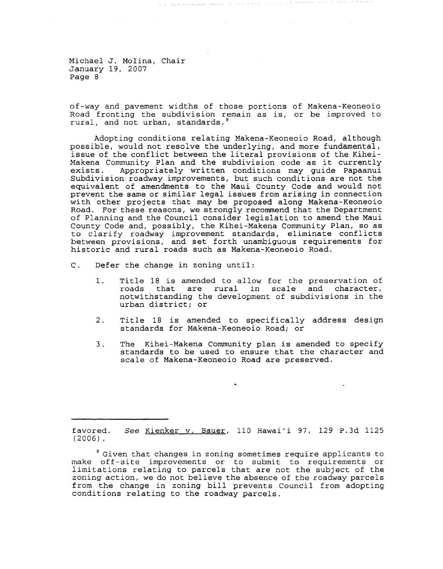of-way and pavement widths of those portions of Makena-Keoneoio Road fronting the subdivision remain as is, or be improved to rural, and not urban, standards.

 $\mathcal{L}(\mathcal{L}(\mathcal{L}(\mathcal{L}(\mathcal{L}(\mathcal{L}(\mathcal{L}(\mathcal{L}(\mathcal{L}(\mathcal{L}(\mathcal{L}(\mathcal{L}(\mathcal{L}(\mathcal{L}(\mathcal{L}(\mathcal{L}(\mathcal{L}(\mathcal{L}(\mathcal{L}(\mathcal{L}(\mathcal{L}(\mathcal{L}(\mathcal{L}(\mathcal{L}(\mathcal{L}(\mathcal{L}(\mathcal{L}(\mathcal{L}(\mathcal{L}(\mathcal{L}(\mathcal{L}(\mathcal{L}(\mathcal{L}(\mathcal{L}(\mathcal{L}(\mathcal{L}(\mathcal{$ 

Adopting conditions relating Makena-Keoneoio Road, although possible, would not resolve the underlying, and more fundamental, issue of the conflict between the literal provisions of the Kihei-Makena Community Plan and the subdivision code as it currently exists. Appropriately written conditions may guide papaanui Subdivision roadway improvements, but such conditions are not the equivalent of amendments to the Maui County Code and would not prevent the same or similar legal issues from arising in connection with other projects that may be proposed along Makena-Keoneoio Road. For these reasons, we strongly recommend that the Department of Planning and the Council consider legislation to amend the Maui County Code and, possibly, the Kihei-Makena Community Plan, so as to clari fy roadway improvement standards, eliminate conflicts between provisions, and set forth unambiguous requirements for historic and rural roads such as Makena-Keoneoio Road.

- C. Defer the change in zoning until:
	- 1. Title 18 is amended to allow for the preservation of roads that are rural in scale and character, notwithstanding the development of subdivisions in the urban district; or
	- 2. Title 18 is amended to specifically address design standards for Makena-Keoneoio Road; or
	- 3. The Kihei-Makena Community plan is amended to specify standards to be used to ensure that the character and scale of Makena-Keoneoio Road are preserved.

favored. (2006) . See Kienker v. Bauer, 110 Hawai'i 97, 129 P.3d 1125

 $^8$  Given that changes in zoning sometimes require applicants to make off-site improvements or to submit to requirements or limitations relating to parcels that are not the subject of the zoning action, we do not believe the absence of the roadway parcels from the change in zoning bill prevents Council from adopting conditions relating to the roadway parcels.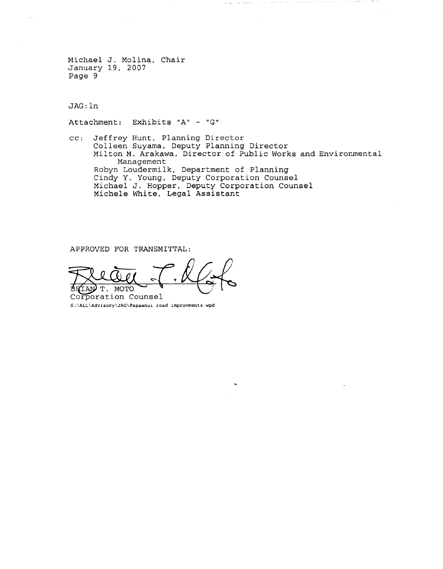JAG: In

Attachment: Exhibits "A" - "G"

cc: Jeffrey Hunt, Planning Director Colleen Suyama, Deputy Planning Director Milton M. Arakawa, Director of Public Works and Environmental Management Robyn Loudermilk, Department of Planning Cindy Y. Young, Deputy Corporation Counsel Michael J. Hopper, Deputy Corporation Counsel Michele White, Legal Assistant

 $\begin{array}{l} \bot \hspace{0.2cm} \bot \hspace{0.2cm} \bot \hspace{0.2cm} \bot \hspace{0.2cm} \bot \hspace{0.2cm} \bot \hspace{0.2cm} \bot \hspace{0.2cm} \bot \hspace{0.2cm} \bot \hspace{0.2cm} \bot \hspace{0.2cm} \bot \hspace{0.2cm} \bot \hspace{0.2cm} \bot \hspace{0.2cm} \bot \hspace{0.2cm} \bot \hspace{0.2cm} \bot \hspace{0.2cm} \bot \hspace{0.2cm} \bot \hspace{0.2cm} \bot \hspace{0.2cm} \bot \hs$ 

APPROVED FOR TRANSMITTAL:

\*HIAN T. MOTO WWW.<br>Corporation Counsel

S:\ALL\Advisory\JAG\Papaanui road improvments.wpd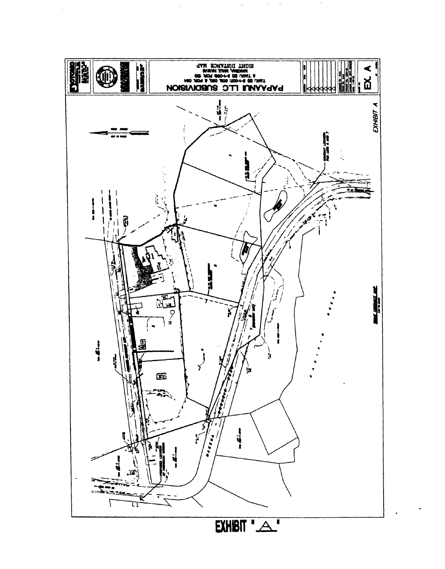

 $\sim$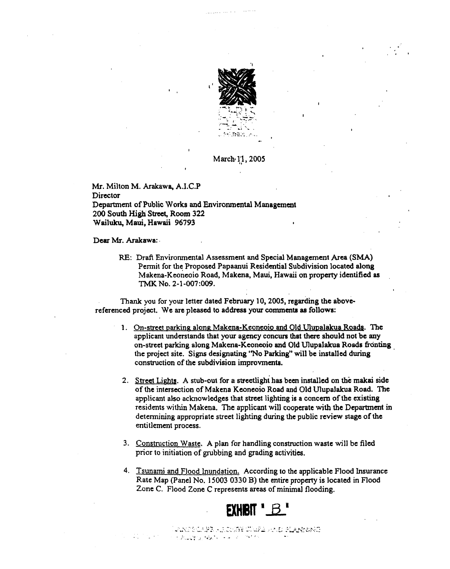

March<sub>'</sub> 1<sub>,</sub>1, 2005

Mr. Milton M. Arakawa, A.I.C.P **Director** Department of Public Works and Environmental Management 200 South High Street, Room 322 Wailuku, Maui, Hawaii 96793

Dear Mr. Arakawa:

RE: Draft Envirorunental Assessment and Special Management Area (SMA) Permit for the Proposed Papaanui Residential Subdivision located along Makena-Keoneoio Road, Makena, Maui, Hawaii on property identified as TMK No. 2-1-007:009.

Thank you for your letter dated February 10, 2005, regarding the abovereferenced project. We are pleased to address your conunents as follows:

- 1. On-street parking along Makena-Keoneoio and Old Ulupalakua Roads. The applicant understands that your agency concurs that there should not be any on-street parking along Makena-Keoneoio and Old Ulupalakua Roads fronting the project site. Signs designating ''No Parking" will be installed during , construction of the subdivision improvmenta.
- 2. Street Lights. A stub-out for a streetlight has been installed on the makai side of the intersection of Makena Keoneoio Road and Old UlupaJakua Road. The applicant also acknowledges that street lighting is a concern of the existing residents within Makena. The applicant will cooperate with the Department in detennining appropriate street lighting during the public review stage of the entitlement process.
- 3. Construction Waste. A plan for handling construction waste will be filed prior to initiation of grubbing and grading activities.
- 4. Tsunami and Flood Inundation. According to the applicable Flood Insurance Rate Map (Panel No. 15003 0330 B) the entire property is located in Flood Zone C. Flood Zone C represents areas of minimal flooding.



JANGE CAPI - LAGHIS BEUND - ALANESSIG }. 'w ,;!' " 1.''1· 'I..' "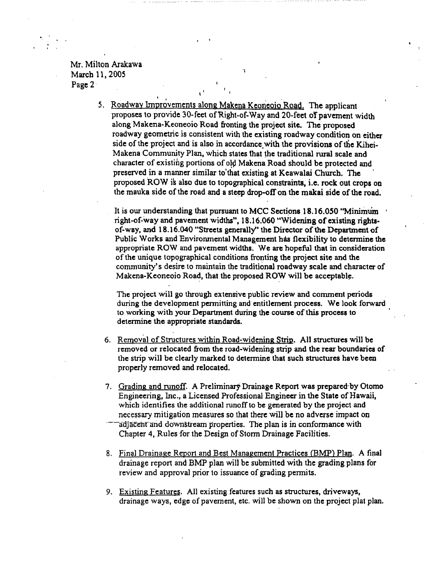Mr. Milton Arakawa March 11, 2005 Page 2'

"

5. Roadway Improvements along Makena Keoneoio Road. The applicant proposes to provide 30-feet of Right-of-Way and 20-feet of pavement width along Makena-Keoneoio Road fronting the project site.. The proposed roadway geometric is consistent with the existing roadway condition on either side of the project and is also in accordance,with the provisions of the Kihei-Makena Community Plan, which states that the traditional rural scale and character of existing portions of old Makena Road should be protected and preserved in a manner similar to'that existing at Keawalai Church. The proposed ROW is also due to topographical constraints, i.e. rock out crops on the mauka side of the road and a steep drop-off on the makai side of the road.

'I

It is our understanding that pursuant to MCC Sections 18.16.050 "Minimum right-of-way and pavement widths", 18.16.060 "Widening of existing rightsof-way, and 18.16.040 "Streets generally" the Director of the Department of Public Works and Environmental Management has flexibility to determine the appropriate ROWand pavement widths, ' We are hopeful that in consideration of the unique topographical conditions fronting the project site and the community's desire to maintain the traditional roadway scale and character of Makena-Keoneoio Road, that the proposed ROW will be acceptable.

The project will go through extensive public review and comment periods during the development permitting and entitlement process. We look forward to working with your Department during the course of this process to detennine the appropriate standards.

- 6. Removal of Structures within Road-widening Strip. All structures will be removed or relocated from the road-widening strip and the rear boundaries of the strip will be clearly marked to determine that such structures have been properly removed and relocated.
- 7. Grading and runoff. A Preliminary Drainage Report was prepared-by Otomo Engineering, Inc., a Licensed Professional Engineer in the State of Hawaii, which identifies the additional runoff to be generated by the project and necessary mitigation measures so that there will be no adverse impact on
- adjacent and downstream properties. The plan is in conformance with Chapter 4, Rules for the Design of Storm Drainage Facilities.
- 8. Final Drainage Report and Best Management Practices (BMP) Plan. A final drainage report and BMP plan will be submitted with the grading plans for review and approval prior to issuance of grading permits.
- 9. Existing Features. All existing features such as structures, driveways, drainage ways, edge of pavement, etc. will be shown on the project plat plan.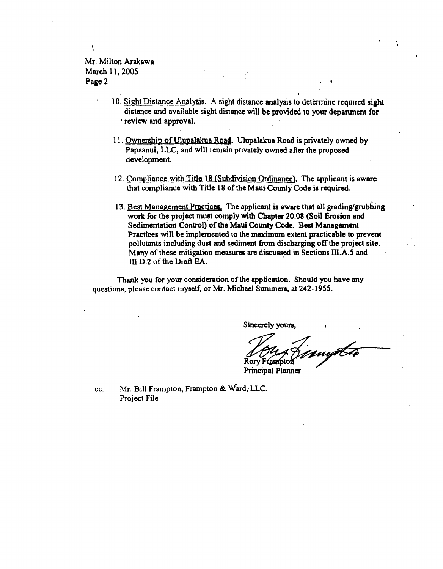### Mr. Milton Arakawa March 11,2005 Page 2 " ,

 $\mathbf{I}$ 

- 10. Sight Distance Analysis. A sight distance analysis to detennine required sight distance and available sight distance will be provided to your depanment for , review and approval.
- 11. Ownership of Ulupalakua Road. Ulupalakua Road· is privately owned by Papaanui, LLC, and will remain privately owned after the proposed development.
- 12. Compliance with Title 18 (Subdivision Ordinance). The applicant is aware that compliance with Title 18 of the Maui County Code is required.
- 13. Best Management Practices. The applicant is aware that all grading/grubbing work for the project must comply with Chapter 20.08 (Soil Erosion and Sedimentation Control) of the Maui County Code. Best Management Practices will be implemented to the maximum extent practicable to prevent pollutants including dust and sediment from discharging off the project site. Many of these mitigation measures are discussed in Sections III.A.5 and ill.D.2 of (he Draft EA.

Thank you for your consideration of the application. Should you have any questions, please contact myself, or Mr. Michael Summers, at 242-1955.

Sincerely yours.

 $40440$  my Principal Planner

.<br>.<br>. .

cc. Mr. Bill Frampton, Frampton & Ward, LLC. Project File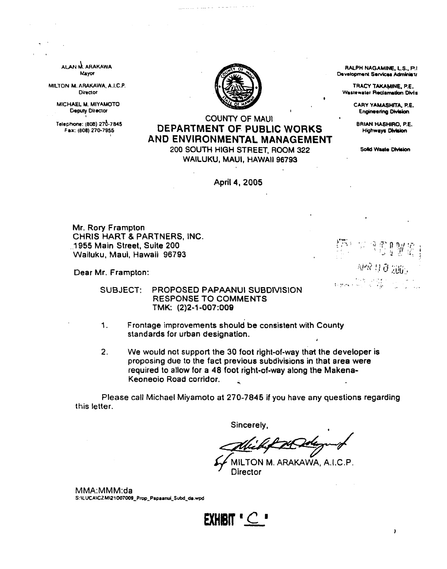ARAKAWA Mayor

MILTON M. ARAKAWA, A.I.C.P. **Director** 

> MICHAEL M. MIYAMOTO Deputy Director

Telechone: (808) 270-7845 Fax: (808) 270-7955 I



and the property

# COUNTY OF MAUl DEPARTMENT OF PUBLIC WORKS AND ENVIRONMENTAL MANAGEMENT

200 SOUTH HIGH STREET, ROOM 322 WAILUKU, MAUl, HAWAII 96793

April 4, 2005

Mr. Rory Frampton CHRIS HART & PARTNERS, INC. 1955 Main Street, Suite 200 Wailuku, Maui, Hawaii 96793

Dear Mr. Frampton:

SUBJECT: PROPOSED PAPAANUI SUBDIVISION RESPONSE TO COMMENTS TMK: (2)2-1-007:009

- 1. Frontage improvements should be consistent with County standards for urban designation.
- 2. We would not support the 30 foot right-ot-way that the developer is proposing due to the fact previous subdivisions in that area were required to allow tor a 48 foot right-of-way along the Makena· Keoneoio Road corridor.

Please call Michael Miyamoto at 270-7845 if you have any questions regarding this letter.

Sincerely,

Alichet 24 Delayund

MILTON M. ARAKAWA, A.I.C.P. **Director** 

MMA:MMM:da S:\LUCA\CZM\21007009\_Prop\_Papaanui\_Subd\_da.wpd



 $\lambda$ 

RALPH NAGAMINE, LS., P.I Development Services Administr

TRACY TAKAMINE, P.E. Wastewater Reclamation Divis

> CARY YAMASHITA, P.E. **Engineering Division**

BRIAN HASHIRO, P.E. Highways Division

Solid Waste Division

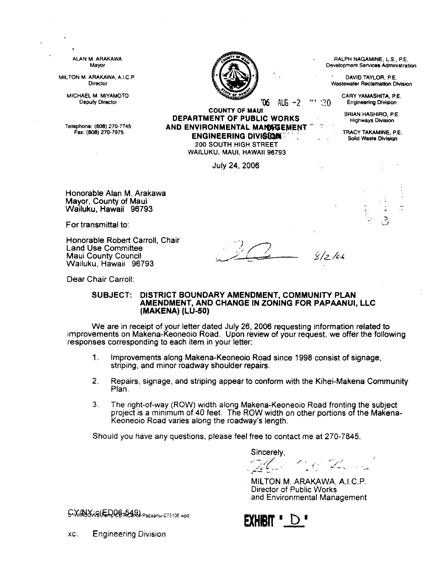| ALAN M. ARAKAWA<br>Mayor                                                    |                                                                                                                                |        | RALPH NAGAMINE, L.S., P.E.<br>Development Services Administration |
|-----------------------------------------------------------------------------|--------------------------------------------------------------------------------------------------------------------------------|--------|-------------------------------------------------------------------|
| MILTON M. ARAKAWA, A.I.C.P.<br>Director                                     | $\mathcal{N}_{\rm{max}}$                                                                                                       |        | DAVID TAYLOR, P.E.<br>Wastewater Reclamation Division             |
| MICHAEL M. MIYAMOTO<br><b>Deputy Director</b>                               | ზ.<br>AUG -2<br><b>COUNTY OF MAUI</b>                                                                                          | "1"20" | CARY YAMASHITA, P.E.<br><b>Engineering Division</b>               |
|                                                                             | DEPARTMENT OF PUBLIC WORKS                                                                                                     |        | BRIAN HASHIRO, P.E.<br><b>Highways Division</b>                   |
| Telephone: (808) 270-7745<br>Fax: (808) 270-7975                            | AND ENVIRONMENTAL MANAGEMENT<br><b>ENGINEERING DIVISION THE</b><br><b>200 SOUTH HIGH STREET</b><br>WAILUKU, MAUI, HAWAII 96793 |        | TRACY TAKAMINE, P.E.<br>Solid Waste Division                      |
|                                                                             | July 24, 2006                                                                                                                  |        |                                                                   |
| Honorable Alan M. Arakawa<br>Mayor, County of Maui<br>Wailuku, Hawaii 96793 |                                                                                                                                |        |                                                                   |
| For transmittal to:                                                         |                                                                                                                                |        | د.<br>پ                                                           |

Honorable Robert Carroll, Chair Land Use Committee Maui County Council Wailuku, Hawaii 96793

 $\frac{2}{\frac{3}{2}}$   $\frac{8}{2}$ /cl

Dear Chair Carroll:

### SUBJECT: DISTRICT BOUNDARY AMENDMENT, COMMUNITY PLAN AMENDMENT, AND CHANGE IN ZONING FOR PAPAANUI, LLC (MAKENA) (LU-50)

We are in receipt of your letter dated July 26, 2006 requesting information related to improvements on Makena-Keoneoio Road. Upon review of your request, we offer the following responses corresponding to each item in your letter:

- 1. Improvements along Makena-Keoneoio Road since 1998 consist of signage, striping, and minor roadway shoulder repairs.
- 2. Repairs, signage, and striping appear to conform with the Kihei-Makena Community Plan,
- 3. The right-of-way (ROW) width along Makena-Keoneoio Road fronting the subject project is a minimum of 40 feet. The ROW width on other portions of the Makena-Keoneoio Road varies along the roadway's length.

Should you have any questions, please feel free to contact me at 270-7845.

Sincerely,

-,~., .. / /,.,(,:\_- . <sup>~</sup>.. -'- .-  $\mathscr{C}\leq \mathscr{D}$ 

MILTON M. ARAKAWA, A.I.C.P. Director of Public Works and Environmental Management



G. WIND Y WS (ERCE RESIDE Papaanu-C73106 wod

XC: Engineering Division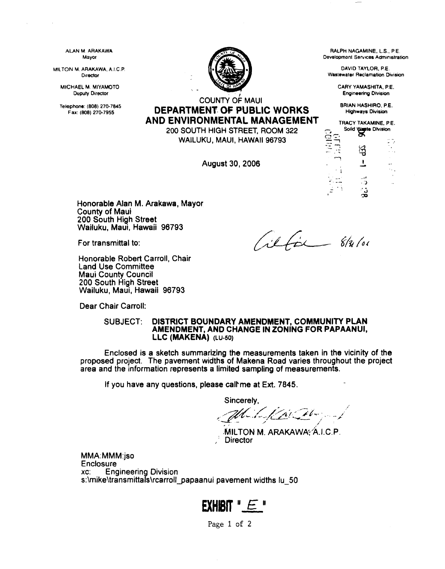ALAN M. ARAKAWA Mayor

MILTON M. ARAKAWA. A.I.C.P. Director

MICHAEL M. MIYAMOTO Duputy Director

Telephone: (808) 270·7845



RALPH NAGAMINE, L.S., P.E. Development Services Administration

DAVID TAYLOR. P.E. Wastewater Reclamation Division

> CARY YAMASHITA. PE. Engineering Division

BRIAN HASHIRO. PE. Highways Division

**ephone: (808) 270-7845 DEPARTMENT OF PUBLIC WORKS** AND ENVIRONMENTAL MANAGEMENT

200 SOUTH HIGH STREET, ROOM 322 WAILUKU, MAUl, HAWAII 96793

August 30, 2006

TRACY TAKAMINE. PE. Solid Water Division *V?*  ~ ,  $\overline{1}$  $\ddot{\phantom{1}}$ ි  $\frac{1}{2}$  ,  $\frac{1}{2}$  ,

Honorable Alan M. Arakawa, Mayor County of Maui 200 South High Street Wailuku, Maui, Hawaii 96793

For transmittal to:

ilfor 8/31/01

Honorable Robert Carroll, Chair Land Use Committee Maui County Council 200 South High Street Wailuku, Maui, Hawaii 96793

Dear Chair Carroll:

### SUBJECT: DISTRICT BOUNDARY AMENDMENT. COMMUNITY PLAN AMENDMENT, AND CHANGE IN ZONING FOR PAPAANUI, LLC (MAKENA) (LU-50)

Enclosed is a sketch summarizing the measurements taken in the vicinity of the proposed project. The pavement widths of Makena Road varies throughout the project area and the information represents a limited sampling of measurements.

If you have any questions, please call me at Ext. 7845.

Sincerely,

 $\overline{\phantom{a}}$  . It is a set of the set of the set of the set of the set of the set of the set of the set of the set of the set of the set of the set of the set of the set of the set of the set of the set of the set of the s - Sincerely,<br>application of the second state of the second state of the second state of the second state of the second state of the second state of the second state of the second state of the second state of the second sta

MILTON M. ARAKAWA; A.I.C.P. **Director** 

MMA:MMM:jso **Enclosure** xc: Engineering Division s:\mike\transmittals\rcarroll\_papaanui pavement widths lu\_50

# EXHIBIT "E"

Page 1 of 2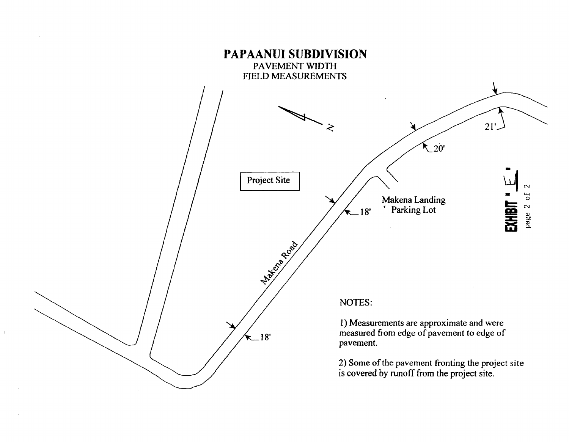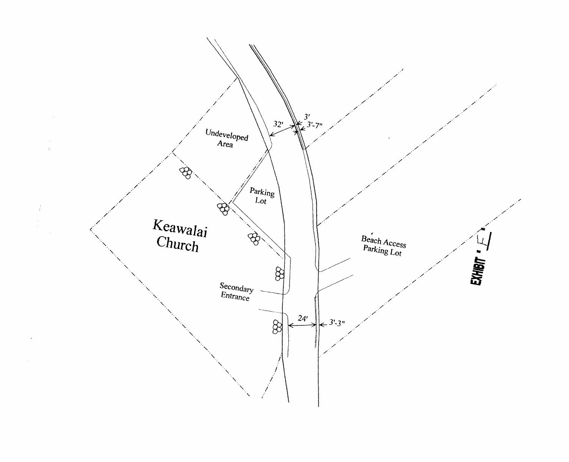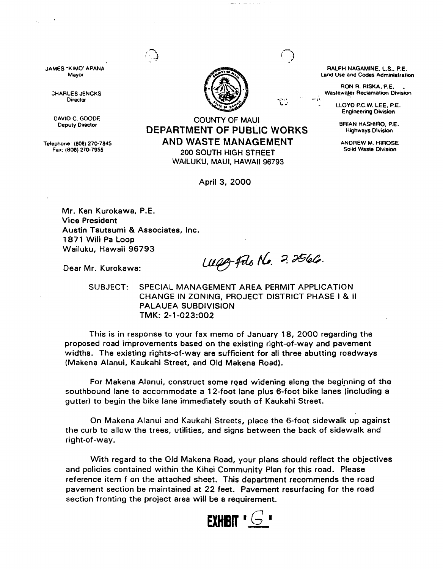

JAMES "KIMO" APANA MayOf

 $\sim 10^{11}$  .

;HARLES JENCKS **Director** 

DAVID C. GOODE Deputy Director

Telephone: (808) 270-7845 Fax: (808) 270-7955

## COUNTY OF MAUl **DEPARTMENT OF PUBLIC WORKS AND WASTE MANAGEMENT**

200 SOUTH HIGH STREET WAILUKU. MAUl, HAWAII 96793

April 3, 2000

RALPH NAGAMINE. L.S., P.E. Land Use and Codes Administration

RON R. RISKA, P.E. Waslewaler Reclamation Division

> LLOYD P.C.W. LEE. P.E. Engineering Division

BRIAN HASHIRO. P.E. Highways Division

ANDREW M. HIROSE Solid Wasle Division

Mr. Ken Kurokawa, P.E. Vice President Austin Tsutsumi & Associates, Inc. 1871 Wili Pa Loop Wailuku, Hawaii 96793

Dear Mr. Kurokawa:

Weg file No. 2.2566.

٢Ō.

SUBJECT: SPECIAL MANAGEMENT AREA PERMIT APPLICATION CHANGE IN ZONING, PROJECT DISTRICT PHASE I & II PALAUEA SUBDIVISION TMK: 2-1-023:002

This is in response to your fax memo of January 18, 2000 regarding the proposed road improvements based on the existing right-of-way and pavement widths. The existing rights-of-way are sufficient for all three abutting roadways (Makena Alanui, Kaukahi Street, and Old Makena Road).

For Makena Alanui, construct some road widening along the beginning of the southbound lane to accommodate a 12-foot lane plus 6-foot bike lanes (including a gutter) to begin the bike lane immediately south of Kaukahi Street.

On Makena Alanui and Kaukahi Streets, place the 6-foot sidewalk up against the curb to allow the trees, utilities, and signs between the back of sidewalk and right-of-way.

With regard to the Old Makena Road, your plans should reflect the objectives and policies contained within the Kihei Community Plan for this road. Please reference item f on the attached sheet. This department recommends the road pavement section be maintained at 22 feet. Pavement resurfacing for the road section fronting the project area will be a requirement.

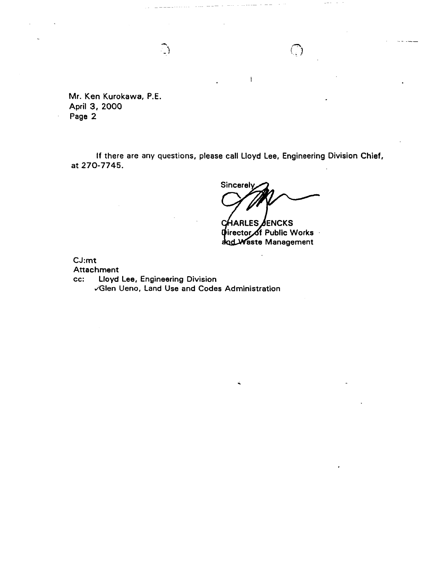Mr. Ken Kurokawa, P.E. April 3, 2000 Page 2

If there are any questions, please call lloyd lee, Engineering Division Chief, at 270-7745.

 $\mathbf{I}$ 

Sincerely

**HARLES** *ð*ENCKS **C** *Director of Public Works* and Waste Management

CJ:mt

Attachment

cc: lloyd Lee, Engineering Division .iGlen Ueno, Land Use and Codes Administration

 $\bigcap$ 

 $\bigcirc$